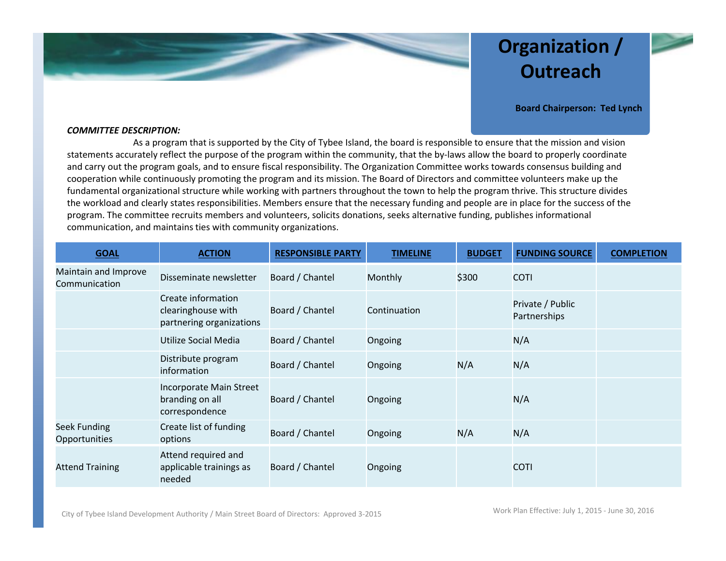

# **Organization / Outreach**



**Board Chairperson: Ted Lynch**

### *COMMITTEE DESCRIPTION:*

As a program that is supported by the City of Tybee Island, the board is responsible to ensure that the mission and vision statements accurately reflect the purpose of the program within the community, that the by‐laws allow the board to properly coordinate and carry out the program goals, and to ensure fiscal responsibility. The Organization Committee works towards consensus building and cooperation while continuously promoting the program and its mission. The Board of Directors and committee volunteers make up the fundamental organizational structure while working with partners throughout the town to help the program thrive. This structure divides the workload and clearly states responsibilities. Members ensure that the necessary funding and people are in place for the success of the program. The committee recruits members and volunteers, solicits donations, seeks alternative funding, publishes informational communication, and maintains ties with community organizations.

| <b>GOAL</b>                           | <b>ACTION</b>                                                        | <b>RESPONSIBLE PARTY</b> | <b>TIMELINE</b> | <b>BUDGET</b> | <b>FUNDING SOURCE</b>            | <b>COMPLETION</b> |
|---------------------------------------|----------------------------------------------------------------------|--------------------------|-----------------|---------------|----------------------------------|-------------------|
| Maintain and Improve<br>Communication | Disseminate newsletter                                               | Board / Chantel          | Monthly         | \$300         | <b>COTI</b>                      |                   |
|                                       | Create information<br>clearinghouse with<br>partnering organizations | Board / Chantel          | Continuation    |               | Private / Public<br>Partnerships |                   |
|                                       | Utilize Social Media                                                 | Board / Chantel          | Ongoing         |               | N/A                              |                   |
|                                       | Distribute program<br>information                                    | Board / Chantel          | Ongoing         | N/A           | N/A                              |                   |
|                                       | Incorporate Main Street<br>branding on all<br>correspondence         | Board / Chantel          | Ongoing         |               | N/A                              |                   |
| Seek Funding<br>Opportunities         | Create list of funding<br>options                                    | Board / Chantel          | Ongoing         | N/A           | N/A                              |                   |
| <b>Attend Training</b>                | Attend required and<br>applicable trainings as<br>needed             | Board / Chantel          | Ongoing         |               | <b>COTI</b>                      |                   |

City of Tybee Island Development Authority / Main Street Board of Directors: Approved 3-2015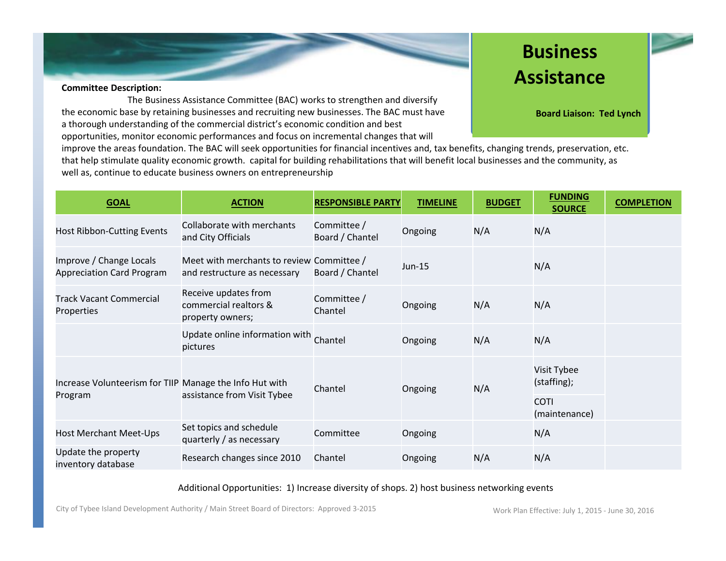

### **Committee Description:**

The Business Assistance Committee (BAC) works to strengthen and diversify the economic base by retaining businesses and recruiting new businesses. The BAC must have a thorough understanding of the commercial district's economic condition and best opportunities, monitor economic performances and focus on incremental changes that will

# **Business Assistance**

**Board Liaison: Ted Lynch**

improve the areas foundation. The BAC will seek opportunities for financial incentives and, tax benefits, changing trends, preservation, etc. that help stimulate quality economic growth. capital for building rehabilitations that will benefit local businesses and the community, as well as, continue to educate business owners on entrepreneurship

| <b>GOAL</b>                                                        | <b>ACTION</b>                                                             | <b>RESPONSIBLE PARTY</b>       | <b>TIMELINE</b> | <b>BUDGET</b> | <b>FUNDING</b><br><b>SOURCE</b> | <b>COMPLETION</b> |
|--------------------------------------------------------------------|---------------------------------------------------------------------------|--------------------------------|-----------------|---------------|---------------------------------|-------------------|
| Host Ribbon-Cutting Events                                         | Collaborate with merchants<br>and City Officials                          | Committee /<br>Board / Chantel | Ongoing         | N/A           | N/A                             |                   |
| Improve / Change Locals<br><b>Appreciation Card Program</b>        | Meet with merchants to review Committee /<br>and restructure as necessary | Board / Chantel                | Jun-15          |               | N/A                             |                   |
| <b>Track Vacant Commercial</b><br>Properties                       | Receive updates from<br>commercial realtors &<br>property owners;         | Committee /<br>Chantel         | Ongoing         | N/A           | N/A                             |                   |
|                                                                    | Update online information with Chantel<br>pictures                        |                                | Ongoing         | N/A           | N/A                             |                   |
| Increase Volunteerism for TIIP Manage the Info Hut with<br>Program | assistance from Visit Tybee                                               | Chantel                        | Ongoing         | N/A           | Visit Tybee<br>(staffing);      |                   |
|                                                                    |                                                                           |                                |                 |               | <b>COTI</b><br>(maintenance)    |                   |
| Host Merchant Meet-Ups                                             | Set topics and schedule<br>quarterly / as necessary                       | Committee                      | Ongoing         |               | N/A                             |                   |
| Update the property<br>inventory database                          | Research changes since 2010                                               | Chantel                        | Ongoing         | N/A           | N/A                             |                   |

# Additional Opportunities: 1) Increase diversity of shops. 2) host business networking events

City of Tybee Island Development Authority / Main Street Board of Directors: Approved 3-2015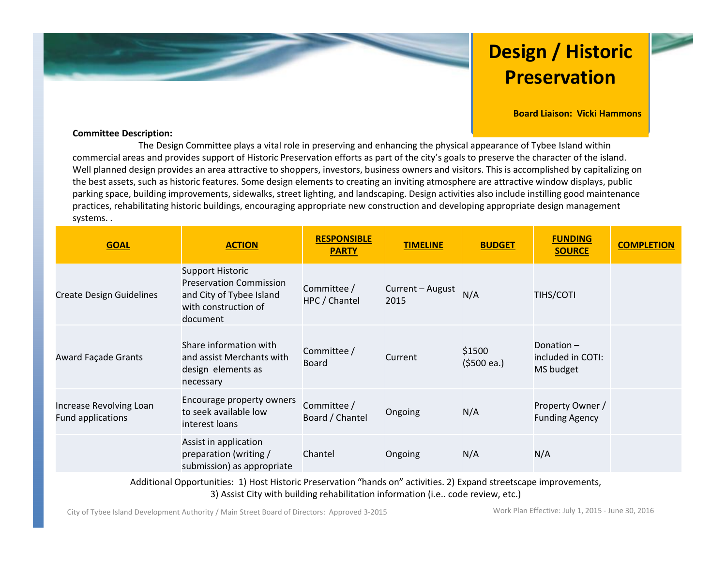# **Design / Historic Preservation**

**Board Liaison: Vicki Hammons**

## **Committee Description:**

The Design Committee plays <sup>a</sup> vital role in preserving and enhancing the physical appearance of Tybee Island within commercial areas and provides support of Historic Preservation efforts as part of the city's goals to preserve the character of the island. Well planned design provides an area attractive to shoppers, investors, business owners and visitors. This is accomplished by capitalizing on the best assets, such as historic features. Some design elements to creating an inviting atmosphere are attractive window displays, public parking space, building improvements, sidewalks, street lighting, and landscaping. Design activities also include instilling good maintenance practices, rehabilitating historic buildings, encouraging appropriate new construction and developing appropriate design management systems. .

| <b>GOAL</b>                                  | <b>ACTION</b>                                                                                                             | <b>RESPONSIBLE</b><br><b>PARTY</b> | <b>TIMELINE</b>          | <b>BUDGET</b>                  | <b>FUNDING</b><br><b>SOURCE</b>             | <b>COMPLETION</b> |
|----------------------------------------------|---------------------------------------------------------------------------------------------------------------------------|------------------------------------|--------------------------|--------------------------------|---------------------------------------------|-------------------|
| <b>Create Design Guidelines</b>              | <b>Support Historic</b><br><b>Preservation Commission</b><br>and City of Tybee Island<br>with construction of<br>document | Committee /<br>HPC / Chantel       | Current - August<br>2015 | N/A                            | <b>TIHS/COTI</b>                            |                   |
| <b>Award Façade Grants</b>                   | Share information with<br>and assist Merchants with<br>design elements as<br>necessary                                    | Committee /<br>Board               | Current                  | \$1500<br>$(5500 \text{ ea.})$ | Donation-<br>included in COTI:<br>MS budget |                   |
| Increase Revolving Loan<br>Fund applications | Encourage property owners<br>to seek available low<br>interest loans                                                      | Committee /<br>Board / Chantel     | Ongoing                  | N/A                            | Property Owner /<br><b>Funding Agency</b>   |                   |
|                                              | Assist in application<br>preparation (writing /<br>submission) as appropriate                                             | Chantel                            | Ongoing                  | N/A                            | N/A                                         |                   |

Additional Opportunities: 1) Host Historic Preservation "hands on" activities. 2) Expand streetscape improvements, 3) Assist City with building rehabilitation information (i.e.. code review, etc.)